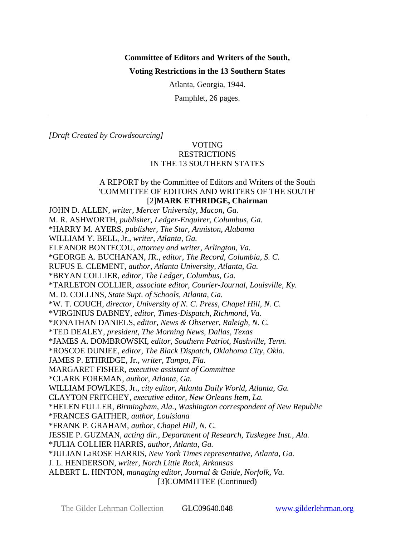# **Committee of Editors and Writers of the South, Voting Restrictions in the 13 Southern States**

Atlanta, Georgia, 1944.

Pamphlet, 26 pages.

*[Draft Created by Crowdsourcing]*

### VOTING **RESTRICTIONS** IN THE 13 SOUTHERN STATES

#### A REPORT by the Committee of Editors and Writers of the South 'COMMITTEE OF EDITORS AND WRITERS OF THE SOUTH' [2]**MARK ETHRIDGE, Chairman**

JOHN D. ALLEN*, writer, Mercer University, Macon, Ga.* M. R. ASHWORTH, *publisher, Ledger-Enquirer, Columbus, Ga.* \*HARRY M. AYERS, *publisher, The Star, Anniston, Alabama* WILLIAM Y. BELL, Jr., *writer, Atlanta, Ga.* ELEANOR BONTECOU, *attorney and writer, Arlington, Va.* \*GEORGE A. BUCHANAN, JR., *editor, The Record, Columbia, S. C.* RUFUS E. CLEMENT, *author, Atlanta University, Atlanta, Ga.* \*BRYAN COLLIER, *editor, The Ledger, Columbus, Ga.* \*TARLETON COLLIER, *associate editor, Courier-Journal, Louisville, Ky.* M. D. COLLINS, *State Supt. of Schools, Atlanta, Ga.* \*W. T. COUCH, *director, University of N. C. Press, Chapel Hill, N. C.* \*VIRGINIUS DABNEY, *editor, Times-Dispatch, Richmond, Va.* \*JONATHAN DANIELS, *editor, News & Observer, Raleigh, N. C.* \*TED DEALEY, *president, The Morning News, Dallas, Texas* \*JAMES A. DOMBROWSKI, *editor, Southern Patriot, Nashville, Tenn.* \*ROSCOE DUNJEE, *editor, The Black Dispatch, Oklahoma City, Okla.* JAMES P. ETHRIDGE, Jr., *writer, Tampa, Fla.* MARGARET FISHER, *executive assistant of Committee* \*CLARK FOREMAN, *author, Atlanta, Ga.* WILLIAM FOWLKES, Jr., *city editor, Atlanta Daily World, Atlanta, Ga.* CLAYTON FRITCHEY, *executive editor, New Orleans Item, La.* \*HELEN FULLER, *Birmingham, Ala., Washington correspondent of New Republic* \*FRANCES GAITHER, *author, Louisiana* \*FRANK P. GRAHAM, *author, Chapel Hill, N. C.* JESSIE P. GUZMAN, *acting dir., Department of Research, Tuskegee Inst., Ala.* \*JULIA COLLIER HARRIS, *author, Atlanta, Ga.* \*JULIAN LaROSE HARRIS, *New York Times representative, Atlanta, Ga.* J. L. HENDERSON, *writer, North Little Rock, Arkansas* ALBERT L. HINTON, *managing editor, Journal & Guide, Norfolk, Va.* [3]COMMITTEE (Continued)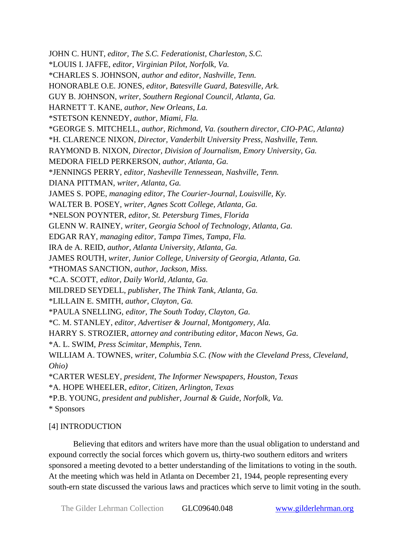JOHN C. HUNT, *editor, The S.C. Federationist, Charleston, S.C.* \*LOUIS I. JAFFE, *editor, Virginian Pilot, Norfolk, Va.* \*CHARLES S. JOHNSON, *author and editor, Nashville, Tenn.* HONORABLE O.E. JONES, *editor, Batesville Guard, Batesville, Ark.* GUY B. JOHNSON, *writer, Southern Regional Council, Atlanta, Ga.* HARNETT T. KANE, *author, New Orleans, La.*  \*STETSON KENNEDY, *author, Miami, Fla.* \*GEORGE S. MITCHELL, *author, Richmond, Va. (southern director, CIO-PAC, Atlanta)* \*H. CLARENCE NIXON, *Director, Vanderbilt University Press, Nashville, Tenn.* RAYMOND B. NIXON, *Director, Division of Journalism, Emory University, Ga.* MEDORA FIELD PERKERSON, *author, Atlanta, Ga.*  \*JENNINGS PERRY, *editor, Nasheville Tennessean, Nashville, Tenn.* DIANA PITTMAN, *writer, Atlanta, Ga.* JAMES S. POPE, *managing editor, The Courier-Journal, Louisville, Ky.* WALTER B. POSEY, *writer, Agnes Scott College, Atlanta, Ga.* \*NELSON POYNTER, *editor, St. Petersburg Times, Florida*  GLENN W. RAINEY, *writer, Georgia School of Technology, Atlanta, Ga.* EDGAR RAY, *managing editor, Tampa Times, Tampa, Fla.* IRA de A. REID, *author, Atlanta University, Atlanta, Ga.* JAMES ROUTH, *writer, Junior College, University of Georgia, Atlanta, Ga.* \*THOMAS SANCTION, *author, Jackson, Miss.* \*C.A. SCOTT, *editor, Daily World, Atlanta, Ga.* MILDRED SEYDELL, *publisher, The Think Tank, Atlanta, Ga.* \*LILLAIN E. SMITH, *author, Clayton, Ga.* \*PAULA SNELLING, *editor, The South Today, Clayton, Ga.* \*C. M. STANLEY, *editor, Advertiser & Journal, Montgomery, Ala.* HARRY S. STROZIER, *attorney and contributing editor, Macon News, Ga.* \*A. L. SWIM, *Press Scimitar, Memphis, Tenn.* WILLIAM A. TOWNES, *writer, Columbia S.C. (Now with the Cleveland Press, Cleveland, Ohio)*  \*CARTER WESLEY*, president, The Informer Newspapers, Houston, Texas* \*A. HOPE WHEELER, *editor, Citizen, Arlington, Texas*  \*P.B. YOUNG, *president and publisher, Journal & Guide, Norfolk, Va.* \* Sponsors

#### [4] INTRODUCTION

Believing that editors and writers have more than the usual obligation to understand and expound correctly the social forces which govern us, thirty-two southern editors and writers sponsored a meeting devoted to a better understanding of the limitations to voting in the south. At the meeting which was held in Atlanta on December 21, 1944, people representing every south-ern state discussed the various laws and practices which serve to limit voting in the south.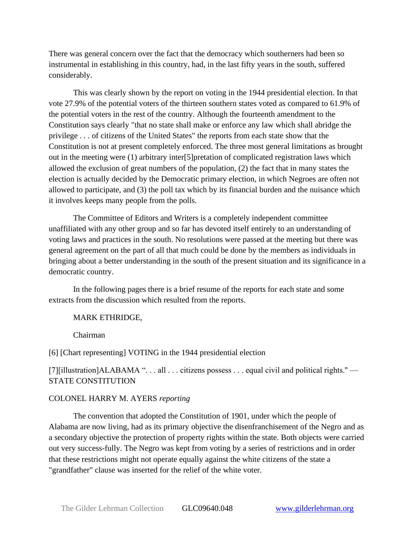There was general concern over the fact that the democracy which southerners had been so instrumental in establishing in this country, had, in the last fifty years in the south, suffered considerably.

This was clearly shown by the report on voting in the 1944 presidential election. In that vote 27.9% of the potential voters of the thirteen southern states voted as compared to 61.9% of the potential voters in the rest of the country. Although the fourteenth amendment to the Constitution says clearly "that no state shall make or enforce any law which shall abridge the privilege . . . of citizens of the United States" the reports from each state show that the Constitution is not at present completely enforced. The three most general limitations as brought out in the meeting were (1) arbitrary inter[5]pretation of complicated registration laws which allowed the exclusion of great numbers of the population, (2) the fact that in many states the election is actually decided by the Democratic primary election, in which Negroes are often not allowed to participate, and (3) the poll tax which by its financial burden and the nuisance which it involves keeps many people from the polls.

The Committee of Editors and Writers is a completely independent committee unaffiliated with any other group and so far has devoted itself entirely to an understanding of voting laws and practices in the south. No resolutions were passed at the meeting but there was general agreement on the part of all that much could be done by the members as individuals in bringing about a better understanding in the south of the present situation and its significance in a democratic country.

In the following pages there is a brief resume of the reports for each state and some extracts from the discussion which resulted from the reports.

#### MARK ETHRIDGE,

Chairman

[6] [Chart representing] VOTING in the 1944 presidential election

[7][illustration]ALABAMA ". . . all . . . citizens possess . . . equal civil and political rights.'' — STATE CONSTITUTION

## COLONEL HARRY M. AYERS *reporting*

The convention that adopted the Constitution of 1901, under which the people of Alabama are now living, had as its primary objective the disenfranchisement of the Negro and as a secondary objective the protection of property rights within the state. Both objects were carried out very success-fully. The Negro was kept from voting by a series of restrictions and in order that these restrictions might not operate equally against the white citizens of the state a "grandfather" clause was inserted for the relief of the white voter.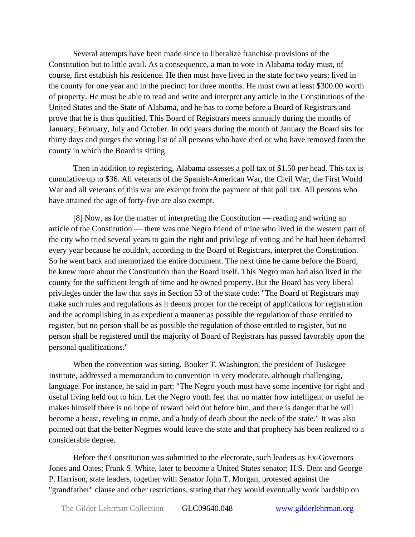Several attempts have been made since to liberalize franchise provisions of the Constitution but to little avail. As a consequence, a man to vote in Alabama today must, of course, first establish his residence. He then must have lived in the state for two years; lived in the county for one year and in the precinct for three months. He must own at least \$300.00 worth of property. He must be able to read and write and interpret any article in the Constitutions of the United States and the State of Alabama, and he has to come before a Board of Registrars and prove that he is thus qualified. This Board of Registrars meets annually during the months of January, February, July and October. In odd years during the month of January the Board sits for thirty days and purges the voting list of all persons who have died or who have removed from the county in which the Board is sitting.

Then in addition to registering, Alabama assesses a poll tax of \$1.50 per head. This tax is cumulative up to \$36. All veterans of the Spanish-American War, the Civil War, the First World War and all veterans of this war are exempt from the payment of that poll tax. All persons who have attained the age of forty-five are also exempt.

[8] Now, as for the matter of interpreting the Constitution — reading and writing an article of the Constitution — there was one Negro friend of mine who lived in the western part of the city who tried several years to gain the right and privilege of voting and he had been debarred every year because he couldn't, according to the Board of Registrars, interpret the Constitution. So he went back and memorized the entire document. The next time he came before the Board, he knew more about the Constitution than the Board itself. This Negro man had also lived in the county for the sufficient length of time and he owned property. But the Board has very liberal privileges under the law that says in Section 53 of the state code: "The Board of Registrars may make such rules and regulations as it deems proper for the receipt of applications for registration and the accomplishing in as expedient a manner as possible the regulation of those entitled to register, but no person shall be as possible the regulation of those entitled to register, but no person shall be registered until the majority of Board of Registrars has passed favorably upon the personal qualifications."

When the convention was sitting, Booker T. Washington, the president of Tuskegee Institute, addressed a memorandum to convention in very moderate, although challenging, language. For instance, he said in part: "The Negro youth must have some incentive for right and useful living held out to him. Let the Negro youth feel that no matter how intelligent or useful he makes himself there is no hope of reward held out before him, and there is danger that he will become a beast, reveling in crime, and a body of death about the neck of the state." It was also pointed out that the better Negroes would leave the state and that prophecy has been realized to a considerable degree.

Before the Constitution was submitted to the electorate, such leaders as Ex-Governors Jones and Oates; Frank S. White, later to become a United States senator; H.S. Dent and George P. Harrison, state leaders, together with Senator John T. Morgan, protested against the "grandfather" clause and other restrictions, stating that they would eventually work hardship on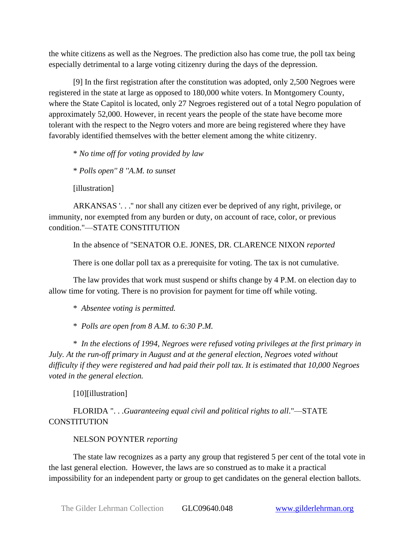the white citizens as well as the Negroes. The prediction also has come true, the poll tax being especially detrimental to a large voting citizenry during the days of the depression.

[9] In the first registration after the constitution was adopted, only 2,500 Negroes were registered in the state at large as opposed to 180,000 white voters. In Montgomery County, where the State Capitol is located, only 27 Negroes registered out of a total Negro population of approximately 52,000. However, in recent years the people of the state have become more tolerant with the respect to the Negro voters and more are being registered where they have favorably identified themselves with the better element among the white citizenry.

\* *No time off for voting provided by law*

\* *Polls open'' 8 ''A.M. to sunset*

[illustration]

ARKANSAS '. . .'' nor shall any citizen ever be deprived of any right, privilege, or immunity, nor exempted from any burden or duty, on account of race, color, or previous condition."—STATE CONSTITUTION

In the absence of ''SENATOR O.E. JONES, DR. CLARENCE NIXON *reported*

There is one dollar poll tax as a prerequisite for voting. The tax is not cumulative.

The law provides that work must suspend or shifts change by 4 P.M. on election day to allow time for voting. There is no provision for payment for time off while voting.

\* *Absentee voting is permitted.*

\* *Polls are open from 8 A.M. to 6:30 P.M.*

\* *In the elections of 1994, Negroes were refused voting privileges at the first primary in July. At the run-off primary in August and at the general election, Negroes voted without difficulty if they were registered and had paid their poll tax. It is estimated that 10,000 Negroes voted in the general election.*

[10][illustration]

FLORIDA ". . .*Guaranteeing equal civil and political rights to all*."—STATE **CONSTITUTION** 

## NELSON POYNTER *reporting*

The state law recognizes as a party any group that registered 5 per cent of the total vote in the last general election. However, the laws are so construed as to make it a practical impossibility for an independent party or group to get candidates on the general election ballots.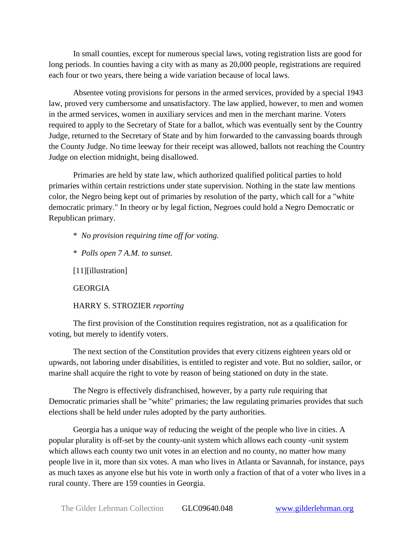In small counties, except for numerous special laws, voting registration lists are good for long periods. In counties having a city with as many as 20,000 people, registrations are required each four or two years, there being a wide variation because of local laws.

Absentee voting provisions for persons in the armed services, provided by a special 1943 law, proved very cumbersome and unsatisfactory. The law applied, however, to men and women in the armed services, women in auxiliary services and men in the merchant marine. Voters required to apply to the Secretary of State for a ballot, which was eventually sent by the Country Judge, returned to the Secretary of State and by him forwarded to the canvassing boards through the County Judge. No time leeway for their receipt was allowed, ballots not reaching the Country Judge on election midnight, being disallowed.

Primaries are held by state law, which authorized qualified political parties to hold primaries within certain restrictions under state supervision. Nothing in the state law mentions color, the Negro being kept out of primaries by resolution of the party, which call for a "white democratic primary." In theory or by legal fiction, Negroes could hold a Negro Democratic or Republican primary.

\* *No provision requiring time off for voting.*

\* *Polls open 7 A.M. to sunset.*

[11][illustration]

GEORGIA

HARRY S. STROZIER *reporting*

The first provision of the Constitution requires registration, not as a qualification for voting, but merely to identify voters.

The next section of the Constitution provides that every citizens eighteen years old or upwards, not laboring under disabilities, is entitled to register and vote. But no soldier, sailor, or marine shall acquire the right to vote by reason of being stationed on duty in the state.

The Negro is effectively disfranchised, however, by a party rule requiring that Democratic primaries shall be "white" primaries; the law regulating primaries provides that such elections shall be held under rules adopted by the party authorities.

Georgia has a unique way of reducing the weight of the people who live in cities. A popular plurality is off-set by the county-unit system which allows each county -unit system which allows each county two unit votes in an election and no county, no matter how many people live in it, more than six votes. A man who lives in Atlanta or Savannah, for instance, pays as much taxes as anyone else but his vote in worth only a fraction of that of a voter who lives in a rural county. There are 159 counties in Georgia.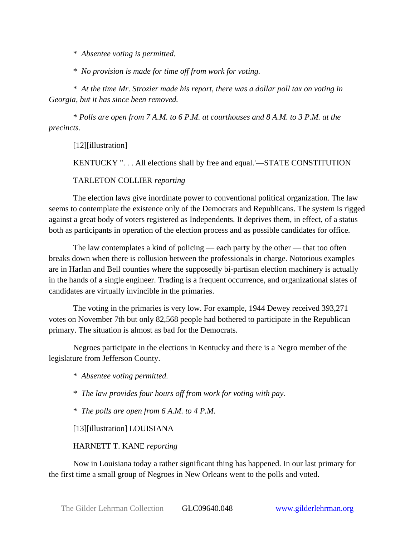\* *Absentee voting is permitted.*

\* *No provision is made for time off from work for voting.*

\* *At the time Mr. Strozier made his report, there was a dollar poll tax on voting in Georgia, but it has since been removed.*

\* *Polls are open from 7 A.M. to 6 P.M. at courthouses and 8 A.M. to 3 P.M. at the precincts.*

[12][illustration]

KENTUCKY ". . . All elections shall by free and equal.'—STATE CONSTITUTION

TARLETON COLLIER *reporting*

The election laws give inordinate power to conventional political organization. The law seems to contemplate the existence only of the Democrats and Republicans. The system is rigged against a great body of voters registered as Independents. It deprives them, in effect, of a status both as participants in operation of the election process and as possible candidates for office.

The law contemplates a kind of policing — each party by the other — that too often breaks down when there is collusion between the professionals in charge. Notorious examples are in Harlan and Bell counties where the supposedly bi-partisan election machinery is actually in the hands of a single engineer. Trading is a frequent occurrence, and organizational slates of candidates are virtually invincible in the primaries.

The voting in the primaries is very low. For example, 1944 Dewey received 393,271 votes on November 7th but only 82,568 people had bothered to participate in the Republican primary. The situation is almost as bad for the Democrats.

Negroes participate in the elections in Kentucky and there is a Negro member of the legislature from Jefferson County.

\* *Absentee voting permitted.*

\* *The law provides four hours off from work for voting with pay.*

\* *The polls are open from 6 A.M. to 4 P.M.*

[13][illustration] LOUISIANA

HARNETT T. KANE *reporting*

Now in Louisiana today a rather significant thing has happened. In our last primary for the first time a small group of Negroes in New Orleans went to the polls and voted.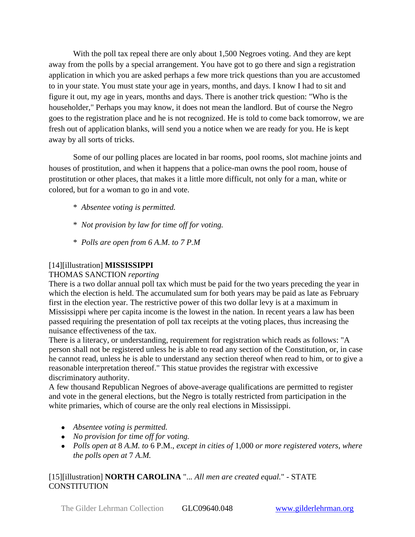With the poll tax repeal there are only about 1,500 Negroes voting. And they are kept away from the polls by a special arrangement. You have got to go there and sign a registration application in which you are asked perhaps a few more trick questions than you are accustomed to in your state. You must state your age in years, months, and days. I know I had to sit and figure it out, my age in years, months and days. There is another trick question: "Who is the householder," Perhaps you may know, it does not mean the landlord. But of course the Negro goes to the registration place and he is not recognized. He is told to come back tomorrow, we are fresh out of application blanks, will send you a notice when we are ready for you. He is kept away by all sorts of tricks.

Some of our polling places are located in bar rooms, pool rooms, slot machine joints and houses of prostitution, and when it happens that a police-man owns the pool room, house of prostitution or other places, that makes it a little more difficult, not only for a man, white or colored, but for a woman to go in and vote.

- \* *Absentee voting is permitted.*
- \* *Not provision by law for time off for voting.*
- \* *Polls are open from 6 A.M. to 7 P.M*

## [14][illustration] **MISSISSIPPI**

## THOMAS SANCTION *reporting*

There is a two dollar annual poll tax which must be paid for the two years preceding the year in which the election is held. The accumulated sum for both years may be paid as late as February first in the election year. The restrictive power of this two dollar levy is at a maximum in Mississippi where per capita income is the lowest in the nation. In recent years a law has been passed requiring the presentation of poll tax receipts at the voting places, thus increasing the nuisance effectiveness of the tax.

There is a literacy, or understanding, requirement for registration which reads as follows: "A person shall not be registered unless he is able to read any section of the Constitution, or, in case he cannot read, unless he is able to understand any section thereof when read to him, or to give a reasonable interpretation thereof." This statue provides the registrar with excessive discriminatory authority.

A few thousand Republican Negroes of above-average qualifications are permitted to register and vote in the general elections, but the Negro is totally restricted from participation in the white primaries, which of course are the only real elections in Mississippi.

- *Absentee voting is permitted.*
- *No provision for time off for voting.*
- *Polls open at* 8 *A.M. to* 6 P.M., *except in cities of* 1,000 *or more registered voters, where the polls open at* 7 *A.M.*

## [15][illustration] **NORTH CAROLINA** "..*. All men are created equal.*" - STATE CONSTITUTION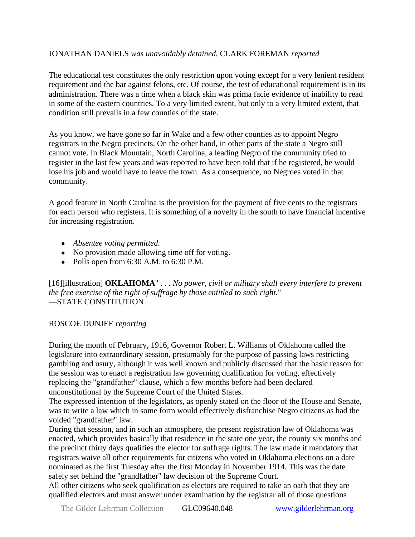## JONATHAN DANIELS *was unavoidably detained.* CLARK FOREMAN *reported*

The educational test constitutes the only restriction upon voting except for a very lenient resident requirement and the bar against felons, etc. Of course, the test of educational requirement is in its administration. There was a time when a black skin was prima facie evidence of inability to read in some of the eastern countries. To a very limited extent, but only to a very limited extent, that condition still prevails in a few counties of the state.

As you know, we have gone so far in Wake and a few other counties as to appoint Negro registrars in the Negro precincts. On the other hand, in other parts of the state a Negro still cannot vote. In Black Mountain, North Carolina, a leading Negro of the community tried to register in the last few years and was reported to have been told that if he registered, he would lose his job and would have to leave the town. As a consequence, no Negroes voted in that community.

A good feature in North Carolina is the provision for the payment of five cents to the registrars for each person who registers. It is something of a novelty in the south to have financial incentive for increasing registration.

- *Absentee voting permitted.*
- No provision made allowing time off for voting.
- Polls open from  $6:30$  A.M. to  $6:30$  P.M.

[16][illustration] **OKLAHOMA**" . . . *No power, civil or military shall every interfere to prevent the free exercise of the right of suffrage by those entitled to such right.*" —STATE CONSTITUTION

## ROSCOE DUNJEE *reporting*

During the month of February, 1916, Governor Robert L. Williams of Oklahoma called the legislature into extraordinary session, presumably for the purpose of passing laws restricting gambling and usury, although it was well known and publicly discussed that the basic reason for the session was to enact a registration law governing qualification for voting, effectively replacing the "grandfather" clause, which a few months before had been declared unconstitutional by the Supreme Court of the United States.

The expressed intention of the legislators, as openly stated on the floor of the House and Senate, was to write a law which in some form would effectively disfranchise Negro citizens as had the voided "grandfather" law.

During that session, and in such an atmosphere, the present registration law of Oklahoma was enacted, which provides basically that residence in the state one year, the county six months and the precinct thirty days qualifies the elector for suffrage rights. The law made it mandatory that registrars waive all other requirements for citizens who voted in Oklahoma elections on a date nominated as the first Tuesday after the first Monday in November 1914. This was the date safely set behind the "grandfather" law decision of the Supreme Court.

All other citizens who seek qualification as electors are required to take an oath that they are qualified electors and must answer under examination by the registrar all of those questions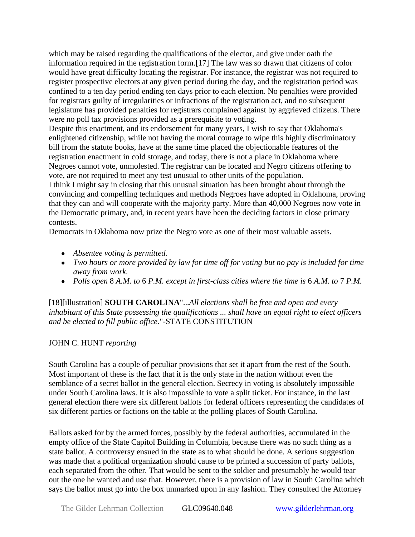which may be raised regarding the qualifications of the elector, and give under oath the information required in the registration form.[17] The law was so drawn that citizens of color would have great difficulty locating the registrar. For instance, the registrar was not required to register prospective electors at any given period during the day, and the registration period was confined to a ten day period ending ten days prior to each election. No penalties were provided for registrars guilty of irregularities or infractions of the registration act, and no subsequent legislature has provided penalties for registrars complained against by aggrieved citizens. There were no poll tax provisions provided as a prerequisite to voting.

Despite this enactment, and its endorsement for many years, I wish to say that Oklahoma's enlightened citizenship, while not having the moral courage to wipe this highly discriminatory bill from the statute books, have at the same time placed the objectionable features of the registration enactment in cold storage, and today, there is not a place in Oklahoma where Negroes cannot vote, unmolested. The registrar can be located and Negro citizens offering to vote, are not required to meet any test unusual to other units of the population.

I think I might say in closing that this unusual situation has been brought about through the convincing and compelling techniques and methods Negroes have adopted in Oklahoma, proving that they can and will cooperate with the majority party. More than 40,000 Negroes now vote in the Democratic primary, and, in recent years have been the deciding factors in close primary contests.

Democrats in Oklahoma now prize the Negro vote as one of their most valuable assets.

- *Absentee voting is permitted.*
- *Two hours or more provided by law for time off for voting but no pay is included for time away from work.*
- *Polls open* 8 *A.M. to* 6 *P.M. except in first-class cities where the time is* 6 *A.M. to* 7 *P.M.*

[18][illustration] **SOUTH CAROLINA**"...*All elections shall be free and open and every inhabitant of this State possessing the qualifications ... shall have an equal right to elect officers and be elected to fill public office.*"-STATE CONSTITUTION

## JOHN C. HUNT *reporting*

South Carolina has a couple of peculiar provisions that set it apart from the rest of the South. Most important of these is the fact that it is the only state in the nation without even the semblance of a secret ballot in the general election. Secrecy in voting is absolutely impossible under South Carolina laws. It is also impossible to vote a split ticket. For instance, in the last general election there were six different ballots for federal officers representing the candidates of six different parties or factions on the table at the polling places of South Carolina.

Ballots asked for by the armed forces, possibly by the federal authorities, accumulated in the empty office of the State Capitol Building in Columbia, because there was no such thing as a state ballot. A controversy ensued in the state as to what should be done. A serious suggestion was made that a political organization should cause to be printed a succession of party ballots, each separated from the other. That would be sent to the soldier and presumably he would tear out the one he wanted and use that. However, there is a provision of law in South Carolina which says the ballot must go into the box unmarked upon in any fashion. They consulted the Attorney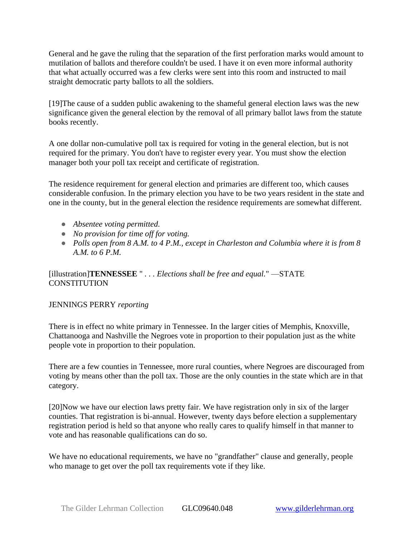General and he gave the ruling that the separation of the first perforation marks would amount to mutilation of ballots and therefore couldn't be used. I have it on even more informal authority that what actually occurred was a few clerks were sent into this room and instructed to mail straight democratic party ballots to all the soldiers.

[19]The cause of a sudden public awakening to the shameful general election laws was the new significance given the general election by the removal of all primary ballot laws from the statute books recently.

A one dollar non-cumulative poll tax is required for voting in the general election, but is not required for the primary. You don't have to register every year. You must show the election manager both your poll tax receipt and certificate of registration.

The residence requirement for general election and primaries are different too, which causes considerable confusion. In the primary election you have to be two years resident in the state and one in the county, but in the general election the residence requirements are somewhat different.

- *Absentee voting permitted.*
- *No provision for time off for voting.*
- *Polls open from 8 A.M. to 4 P.M., except in Charleston and Columbia where it is from 8 A.M. to 6 P.M.*

[illustration]**TENNESSEE** " *. . . Elections shall be free and equal.*" —STATE **CONSTITUTION** 

#### JENNINGS PERRY *reporting*

There is in effect no white primary in Tennessee. In the larger cities of Memphis, Knoxville, Chattanooga and Nashville the Negroes vote in proportion to their population just as the white people vote in proportion to their population.

There are a few counties in Tennessee, more rural counties, where Negroes are discouraged from voting by means other than the poll tax. Those are the only counties in the state which are in that category.

[20]Now we have our election laws pretty fair. We have registration only in six of the larger counties. That registration is bi-annual. However, twenty days before election a supplementary registration period is held so that anyone who really cares to qualify himself in that manner to vote and has reasonable qualifications can do so.

We have no educational requirements, we have no "grandfather" clause and generally, people who manage to get over the poll tax requirements vote if they like.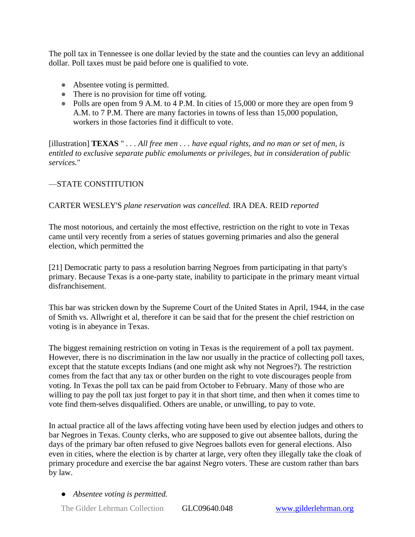The poll tax in Tennessee is one dollar levied by the state and the counties can levy an additional dollar. Poll taxes must be paid before one is qualified to vote.

- Absentee voting is permitted.
- There is no provision for time off voting.
- Polls are open from 9 A.M. to 4 P.M. In cities of 15,000 or more they are open from 9 A.M. to 7 P.M. There are many factories in towns of less than 15,000 population, workers in those factories find it difficult to vote.

[illustration] **TEXAS** " *. . . All free men . . . have equal rights, and no man or set of men, is entitled to exclusive separate public emoluments or privileges, but in consideration of public services.*"

## —STATE CONSTITUTION

### CARTER WESLEY'S *plane reservation was cancelled.* IRA DEA. REID *reported*

The most notorious, and certainly the most effective, restriction on the right to vote in Texas came until very recently from a series of statues governing primaries and also the general election, which permitted the

[21] Democratic party to pass a resolution barring Negroes from participating in that party's primary. Because Texas is a one-party state, inability to participate in the primary meant virtual disfranchisement.

This bar was stricken down by the Supreme Court of the United States in April, 1944, in the case of Smith vs. Allwright et al, therefore it can be said that for the present the chief restriction on voting is in abeyance in Texas.

The biggest remaining restriction on voting in Texas is the requirement of a poll tax payment. However, there is no discrimination in the law nor usually in the practice of collecting poll taxes, except that the statute excepts Indians (and one might ask why not Negroes?). The restriction comes from the fact that any tax or other burden on the right to vote discourages people from voting. In Texas the poll tax can be paid from October to February. Many of those who are willing to pay the poll tax just forget to pay it in that short time, and then when it comes time to vote find them-selves disqualified. Others are unable, or unwilling, to pay to vote.

In actual practice all of the laws affecting voting have been used by election judges and others to bar Negroes in Texas. County clerks, who are supposed to give out absentee ballots, during the days of the primary bar often refused to give Negroes ballots even for general elections. Also even in cities, where the election is by charter at large, very often they illegally take the cloak of primary procedure and exercise the bar against Negro voters. These are custom rather than bars by law.

● *Absentee voting is permitted.*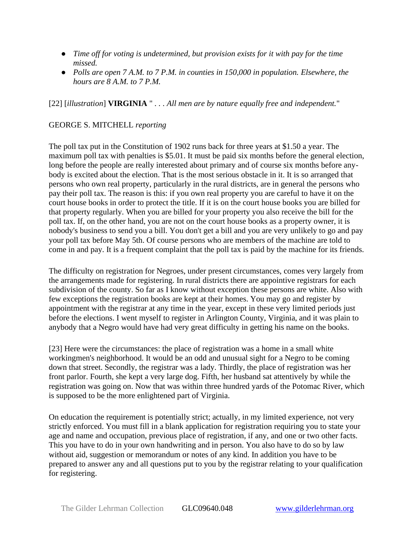- *Time off for voting is undetermined, but provision exists for it with pay for the time missed.*
- *Polls are open 7 A.M. to 7 P.M. in counties in 150,000 in population. Elsewhere, the hours are 8 A.M. to 7 P.M.*

[22] [*illustration*] **VIRGINIA** " *. . . All men are by nature equally free and independent.*"

## GEORGE S. MITCHELL *reporting*

The poll tax put in the Constitution of 1902 runs back for three years at \$1.50 a year. The maximum poll tax with penalties is \$5.01. It must be paid six months before the general election, long before the people are really interested about primary and of course six months before anybody is excited about the election. That is the most serious obstacle in it. It is so arranged that persons who own real property, particularly in the rural districts, are in general the persons who pay their poll tax. The reason is this: if you own real property you are careful to have it on the court house books in order to protect the title. If it is on the court house books you are billed for that property regularly. When you are billed for your property you also receive the bill for the poll tax. If, on the other hand, you are not on the court house books as a property owner, it is nobody's business to send you a bill. You don't get a bill and you are very unlikely to go and pay your poll tax before May 5th. Of course persons who are members of the machine are told to come in and pay. It is a frequent complaint that the poll tax is paid by the machine for its friends.

The difficulty on registration for Negroes, under present circumstances, comes very largely from the arrangements made for registering. In rural districts there are appointive registrars for each subdivision of the county. So far as I know without exception these persons are white. Also with few exceptions the registration books are kept at their homes. You may go and register by appointment with the registrar at any time in the year, except in these very limited periods just before the elections. I went myself to register in Arlington County, Virginia, and it was plain to anybody that a Negro would have had very great difficulty in getting his name on the books.

[23] Here were the circumstances: the place of registration was a home in a small white workingmen's neighborhood. It would be an odd and unusual sight for a Negro to be coming down that street. Secondly, the registrar was a lady. Thirdly, the place of registration was her front parlor. Fourth, she kept a very large dog. Fifth, her husband sat attentively by while the registration was going on. Now that was within three hundred yards of the Potomac River, which is supposed to be the more enlightened part of Virginia.

On education the requirement is potentially strict; actually, in my limited experience, not very strictly enforced. You must fill in a blank application for registration requiring you to state your age and name and occupation, previous place of registration, if any, and one or two other facts. This you have to do in your own handwriting and in person. You also have to do so by law without aid, suggestion or memorandum or notes of any kind. In addition you have to be prepared to answer any and all questions put to you by the registrar relating to your qualification for registering.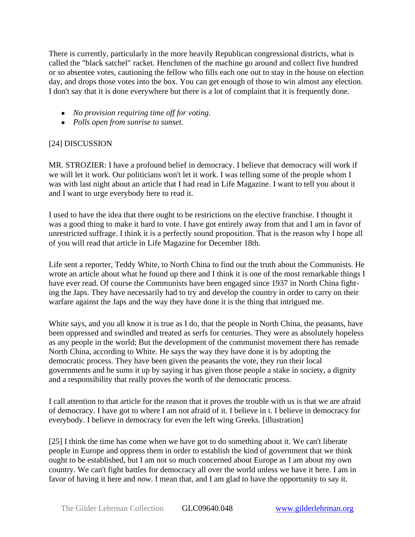There is currently, particularly in the more heavily Republican congressional districts, what is called the "black satchel" racket. Henchmen of the machine go around and collect five hundred or so absentee votes, cautioning the fellow who fills each one out to stay in the house on election day, and drops those votes into the box. You can get enough of those to win almost any election. I don't say that it is done everywhere but there is a lot of complaint that it is frequently done.

- *No provision requiring time off for voting.*
- *Polls open from sunrise to sunset.*

## [24] DISCUSSION

MR. STROZIER: I have a profound belief in democracy. I believe that democracy will work if we will let it work. Our politicians won't let it work. I was telling some of the people whom I was with last night about an article that I had read in Life Magazine. I want to tell you about it and I want to urge everybody here to read it.

I used to have the idea that there ought to be restrictions on the elective franchise. I thought it was a good thing to make it hard to vote. I have got entirely away from that and I am in favor of unrestricted suffrage. I think it is a perfectly sound proposition. That is the reason why I hope all of you will read that article in Life Magazine for December 18th.

Life sent a reporter, Teddy White, to North China to find out the truth about the Communists. He wrote an article about what he found up there and I think it is one of the most remarkable things I have ever read. Of course the Communists have been engaged since 1937 in North China fighting the Japs. They have necessarily had to try and develop the country in order to carry on their warfare against the Japs and the way they have done it is the thing that intrigued me.

White says, and you all know it is true as I do, that the people in North China, the peasants, have been oppressed and swindled and treated as serfs for centuries. They were as absolutely hopeless as any people in the world; But the development of the communist movement there has remade North China, according to White. He says the way they have done it is by adopting the democratic process. They have been given the peasants the vote, they run their local governments and he sums it up by saying it has given those people a stake in society, a dignity and a responsibility that really proves the worth of the democratic process.

I call attention to that article for the reason that it proves the trouble with us is that we are afraid of democracy. I have got to where I am not afraid of it. I believe in t. I believe in democracy for everybody. I believe in democracy for even the left wing Greeks. [illustration]

[25] I think the time has come when we have got to do something about it. We can't liberate people in Europe and oppress them in order to establish the kind of government that we think ought to be established, but I am not so much concerned about Europe as I am about my own country. We can't fight battles for democracy all over the world unless we have it here. I am in favor of having it here and *now*. I mean that, and I am glad to have the opportunity to say it.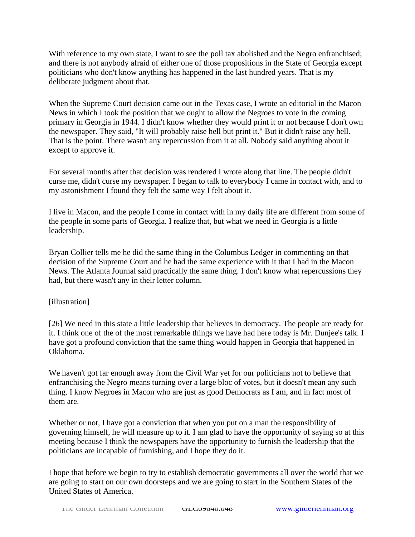With reference to my own state, I want to see the poll tax abolished and the Negro enfranchised; and there is not anybody afraid of either one of those propositions in the State of Georgia except politicians who don't know anything has happened in the last hundred years. That is my deliberate judgment about that.

When the Supreme Court decision came out in the Texas case, I wrote an editorial in the Macon News in which I took the position that we ought to allow the Negroes to vote in the coming primary in Georgia in 1944. I didn't know whether they would print it or not because I don't own the newspaper. They said, "It will probably raise hell but print it." But it didn't raise any hell. That is the point. There wasn't any repercussion from it at all. Nobody said anything about it except to approve it.

For several months after that decision was rendered I wrote along that line. The people didn't curse me, didn't curse my newspaper. I began to talk to everybody I came in contact with, and to my astonishment I found they felt the same way I felt about it.

I live in Macon, and the people I come in contact with in my daily life are different from some of the people in some parts of Georgia. I realize that, but what we need in Georgia is a little leadership.

Bryan Collier tells me he did the same thing in the Columbus Ledger in commenting on that decision of the Supreme Court and he had the same experience with it that I had in the Macon News. The Atlanta Journal said practically the same thing. I don't know what repercussions they had, but there wasn't any in their letter column.

## [illustration]

[26] We need in this state a little leadership that believes in democracy. The people are ready for it. I think one of the of the most remarkable things we have had here today is Mr. Dunjee's talk. I have got a profound conviction that the same thing would happen in Georgia that happened in Oklahoma.

We haven't got far enough away from the Civil War yet for our politicians not to believe that enfranchising the Negro means turning over a large bloc of votes, but it doesn't mean any such thing. I know Negroes in Macon who are just as good Democrats as I am, and in fact most of them are.

Whether or not, I have got a conviction that when you put on a man the responsibility of governing himself, he will measure up to it. I am glad to have the opportunity of saying so at this meeting because I think the newspapers have the opportunity to furnish the leadership that the politicians are incapable of furnishing, and I hope they do it.

I hope that before we begin to try to establish democratic governments all over the world that we are going to start on our own doorsteps and we are going to start in the Southern States of the United States of America.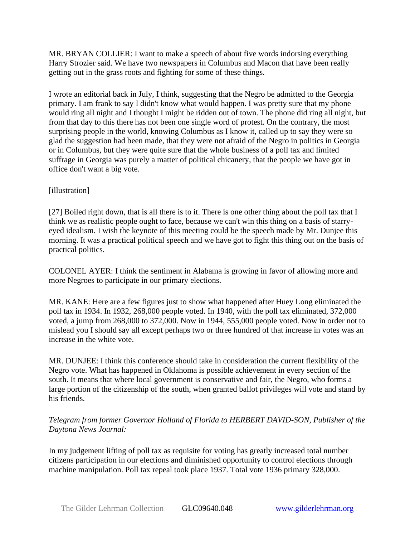MR. BRYAN COLLIER: I want to make a speech of about five words indorsing everything Harry Strozier said. We have two newspapers in Columbus and Macon that have been really getting out in the grass roots and fighting for some of these things.

I wrote an editorial back in July, I think, suggesting that the Negro be admitted to the Georgia primary. I am frank to say I didn't know what would happen. I was pretty sure that my phone would ring all night and I thought I might be ridden out of town. The phone did ring all night, but from that day to this there has not been one single word of protest. On the contrary, the most surprising people in the world, knowing Columbus as I know it, called up to say they were so glad the suggestion had been made, that they were not afraid of the Negro in politics in Georgia or in Columbus, but they were quite sure that the whole business of a poll tax and limited suffrage in Georgia was purely a matter of political chicanery, that the people we have got in office don't want a big vote.

## [illustration]

[27] Boiled right down, that is all there is to it. There is one other thing about the poll tax that I think we as realistic people ought to face, because we can't win this thing on a basis of starryeyed idealism. I wish the keynote of this meeting could be the speech made by Mr. Dunjee this morning. It was a practical political speech and we have got to fight this thing out on the basis of practical politics.

COLONEL AYER: I think the sentiment in Alabama is growing in favor of allowing more and more Negroes to participate in our primary elections.

MR. KANE: Here are a few figures just to show what happened after Huey Long eliminated the poll tax in 1934. In 1932, 268,000 people voted. In 1940, with the poll tax eliminated, 372,000 voted, a jump from 268,000 to 372,000. Now in 1944, 555,000 people voted. Now in order not to mislead you I should say all except perhaps two or three hundred of that increase in votes was an increase in the white vote.

MR. DUNJEE: I think this conference should take in consideration the current flexibility of the Negro vote. What has happened in Oklahoma is possible achievement in every section of the south. It means that where local government is conservative and fair, the Negro, who forms a large portion of the citizenship of the south, when granted ballot privileges will vote and stand by his friends.

## *Telegram from former Governor Holland of Florida to HERBERT DAVID-SON, Publisher of the Daytona News Journal:*

In my judgement lifting of poll tax as requisite for voting has greatly increased total number citizens participation in our elections and diminished opportunity to control elections through machine manipulation. Poll tax repeal took place 1937. Total vote 1936 primary 328,000.